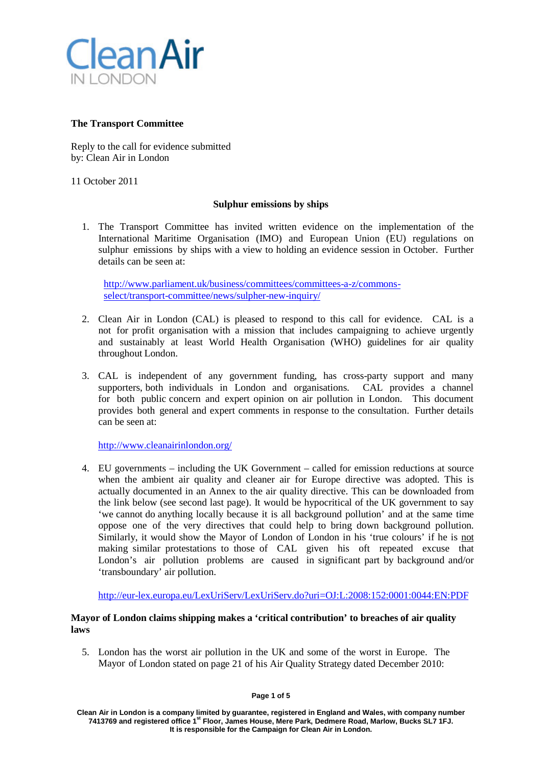

# **The Transport Committee**

Reply to the call for evidence submitted by: Clean Air in London

11 October 2011

## **Sulphur emissions by ships**

1. The Transport Committee has invited written evidence on the implementation of the International Maritime Organisation (IMO) and European Union (EU) regulations on sulphur emissions by ships with a view to holding an evidence session in October. Further details can be seen at:

http://www.parliament.uk/business/committees/committees-a-z/commonsselect/transport[-committee/news/sulpher-new-inquiry/](http://www.parliament.uk/business/committees/committees-a-z/commons-select/transport-committee/news/sulpher-new-inquiry/)

- 2. Clean Air in London (CAL) is pleased to respond to this call for evidence. CAL is a not for profit organisation with a mission that includes campaigning to achieve urgently and sustainably at least World Health Organisation (WHO) guidelines for air quality throughout London.
- 3. CAL is independent of any government funding, has cross-party support and many supporters, both individuals in London and organisations. CAL provides a channel for both public concern and expert opinion on air pollution in London. This document provides both general and expert comments in response to the consultation. Further details can be seen at:

<http://www.cleanairinlondon.org/>

4. EU governments – including the UK Government – called for emission reductions at source when the ambient air quality and cleaner air for Europe directive was adopted. This is actually documented in an Annex to the air quality directive. This can be downloaded from the link below (see second last page). It would be hypocritical of the UK government to say 'we cannot do anything locally because it is all background pollution' and at the same time oppose one of the very directives that could help to bring down background pollution. Similarly, it would show the Mayor of London of London in his 'true colours' if he is not making similar protestations to those of CAL given his oft repeated excuse that London's air pollution problems are caused in significant part by background and/or 'transboundary' air pollution.

[http://eur-lex.europa.eu/LexUriServ/LexUriServ.do?uri=OJ:L:2008:152:0001:0044:EN:PDF](http://eur-lex.europa.eu/LexUriServ/LexUriServ.do?uri=OJ%3AL%3A2008%3A152%3A0001%3A0044%3AEN%3APDF)

# **Mayor of London claims shipping makes a 'critical contribution' to breaches of air quality laws**

5. London has the worst air pollution in the UK and some of the worst in Europe. The Mayor of London stated on page 21 of his Air Quality Strategy dated December 2010: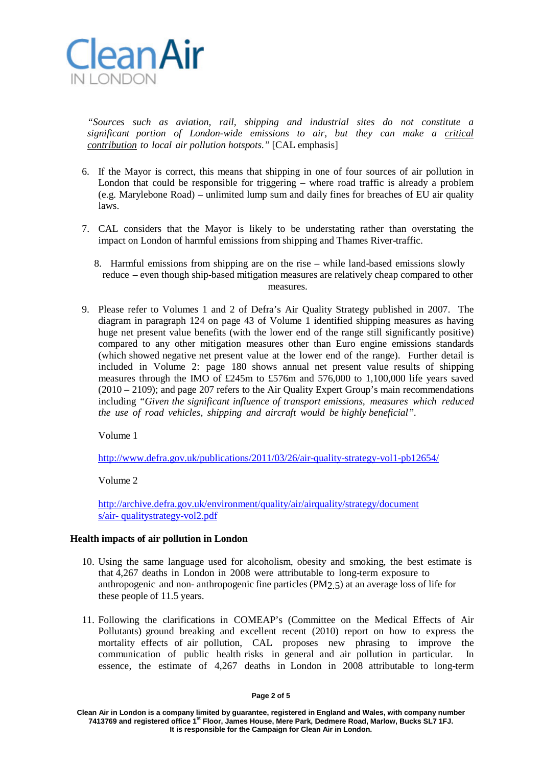

*"Sources such as aviation, rail, shipping and industrial sites do not constitute a significant portion of London-wide emissions to air, but they can make a critical contribution to local air pollution hotspots."* [CAL emphasis]

- 6. If the Mayor is correct, this means that shipping in one of four sources of air pollution in London that could be responsible for triggering – where road traffic is already a problem (e.g. Marylebone Road) – unlimited lump sum and daily fines for breaches of EU air quality laws.
- 7. CAL considers that the Mayor is likely to be understating rather than overstating the impact on London of harmful emissions from shipping and Thames River-traffic.
	- 8. Harmful emissions from shipping are on the rise while land-based emissions slowly reduce – even though ship-based mitigation measures are relatively cheap compared to other measures.
- 9. Please refer to Volumes 1 and 2 of Defra's Air Quality Strategy published in 2007. The diagram in paragraph 124 on page 43 of Volume 1 identified shipping measures as having huge net present value benefits (with the lower end of the range still significantly positive) compared to any other mitigation measures other than Euro engine emissions standards (which showed negative net present value at the lower end of the range). Further detail is included in Volume 2: page 180 shows annual net present value results of shipping measures through the IMO of £245m to £576m and 576,000 to 1,100,000 life years saved (2010 – 2109); and page 207 refers to the Air Quality Expert Group's main recommendations including *"Given the significant influence of transport emissions, measures which reduced the use of road vehicles, shipping and aircraft would be highly beneficial"*.

Volume 1

<http://www.defra.gov.uk/publications/2011/03/26/air-quality-strategy-vol1-pb12654/>

Volume 2

[http://archive.defra.gov.uk/environment/quality/air/airquality/strategy/document](http://archive.defra.gov.uk/environment/quality/air/airquality/strategy/documents/air-) [s/air-](http://archive.defra.gov.uk/environment/quality/air/airquality/strategy/documents/air-) [qualitystrategy-vol2.pdf](http://archive.defra.gov.uk/environment/quality/air/airquality/strategy/documents/air-qualitystrategy-vol2.pdf)

### **Health impacts of air pollution in London**

- 10. Using the same language used for alcoholism, obesity and smoking, the best estimate is that 4,267 deaths in London in 2008 were attributable to long-term exposure to anthropogenic and non- anthropogenic fine particles (PM2.5) at an average loss of life for these people of 11.5 years.
- 11. Following the clarifications in COMEAP's (Committee on the Medical Effects of Air Pollutants) ground breaking and excellent recent (2010) report on how to express the mortality effects of air pollution, CAL proposes new phrasing to improve the communication of public health risks in general and air pollution in particular. In essence, the estimate of 4,267 deaths in London in 2008 attributable to long-term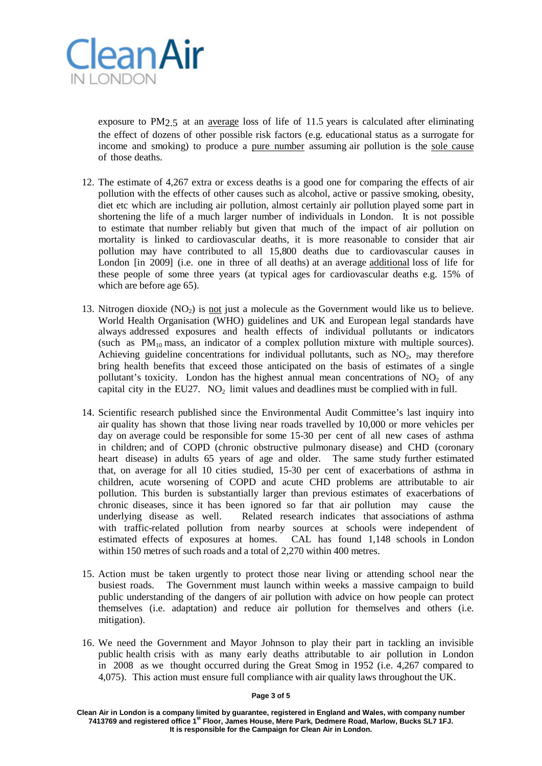

exposure to PM2.5 at an average loss of life of 11.5 years is calculated after eliminating the effect of dozens of other possible risk factors (e.g. educational status as a surrogate for income and smoking) to produce a pure number assuming air pollution is the sole cause of those deaths.

- 12. The estimate of 4,267 extra or excess deaths is a good one for comparing the effects of air pollution with the effects of other causes such as alcohol, active or passive smoking, obesity, diet etc which are including air pollution, almost certainly air pollution played some part in shortening the life of a much larger number of individuals in London. It is not possible to estimate that number reliably but given that much of the impact of air pollution on mortality is linked to cardiovascular deaths, it is more reasonable to consider that air pollution may have contributed to all 15,800 deaths due to cardiovascular causes in London [in 2009] (i.e. one in three of all deaths) at an average additional loss of life for these people of some three years (at typical ages for cardiovascular deaths e.g. 15% of which are before age 65).
- 13. Nitrogen dioxide  $(NO_2)$  is not just a molecule as the Government would like us to believe. World Health Organisation (WHO) guidelines and UK and European legal standards have always addressed exposures and health effects of individual pollutants or indicators (such as  $PM_{10}$  mass, an indicator of a complex pollution mixture with multiple sources). Achieving guideline concentrations for individual pollutants, such as  $NO<sub>2</sub>$ , may therefore bring health benefits that exceed those anticipated on the basis of estimates of a single pollutant's toxicity. London has the highest annual mean concentrations of  $NO<sub>2</sub>$  of any capital city in the EU27.  $NO<sub>2</sub>$  limit values and deadlines must be complied with in full.
- 14. Scientific research published since the Environmental Audit Committee's last inquiry into air quality has shown that those living near roads travelled by 10,000 or more vehicles per day on average could be responsible for some 15-30 per cent of all new cases of asthma in children; and of COPD (chronic obstructive pulmonary disease) and CHD (coronary heart disease) in adults 65 years of age and older. The same study further estimated that, on average for all 10 cities studied, 15-30 per cent of exacerbations of asthma in children, acute worsening of COPD and acute CHD problems are attributable to air pollution. This burden is substantially larger than previous estimates of exacerbations of chronic diseases, since it has been ignored so far that air pollution may cause the underlying disease as well. Related research indicates that associations of asthma with traffic-related pollution from nearby sources at schools were independent of estimated effects of exposures at homes. CAL has found 1,148 schools in London within 150 metres of such roads and a total of 2,270 within 400 metres.
- 15. Action must be taken urgently to protect those near living or attending school near the busiest roads. The Government must launch within weeks a massive campaign to build public understanding of the dangers of air pollution with advice on how people can protect themselves (i.e. adaptation) and reduce air pollution for themselves and others (i.e. mitigation).
- 16. We need the Government and Mayor Johnson to play their part in tackling an invisible public health crisis with as many early deaths attributable to air pollution in London in 2008 as we thought occurred during the Great Smog in 1952 (i.e. 4,267 compared to 4,075). This action must ensure full compliance with air quality laws throughout the UK.

#### **Page 3 of 5**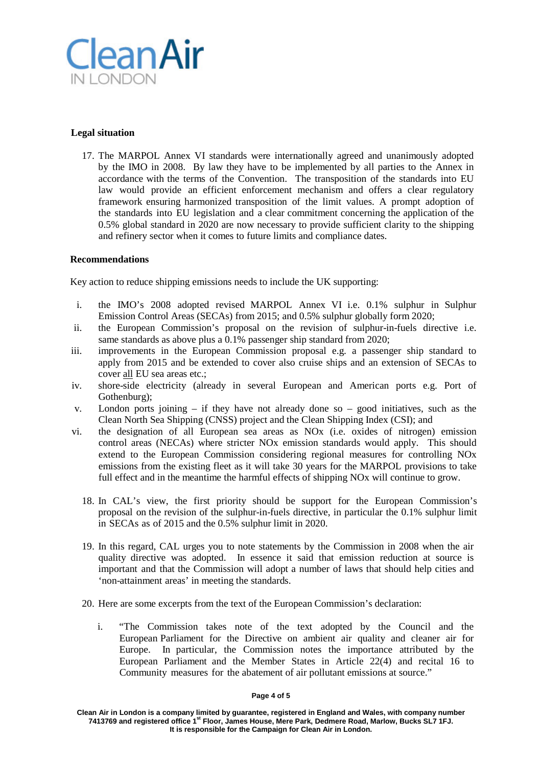

# **Legal situation**

17. The MARPOL Annex VI standards were internationally agreed and unanimously adopted by the IMO in 2008. By law they have to be implemented by all parties to the Annex in accordance with the terms of the Convention. The transposition of the standards into EU law would provide an efficient enforcement mechanism and offers a clear regulatory framework ensuring harmonized transposition of the limit values. A prompt adoption of the standards into EU legislation and a clear commitment concerning the application of the 0.5% global standard in 2020 are now necessary to provide sufficient clarity to the shipping and refinery sector when it comes to future limits and compliance dates.

## **Recommendations**

Key action to reduce shipping emissions needs to include the UK supporting:

- i. the IMO's 2008 adopted revised MARPOL Annex VI i.e. 0.1% sulphur in Sulphur Emission Control Areas (SECAs) from 2015; and 0.5% sulphur globally form 2020;
- ii. the European Commission's proposal on the revision of sulphur-in-fuels directive i.e. same standards as above plus a 0.1% passenger ship standard from 2020;
- iii. improvements in the European Commission proposal e.g. a passenger ship standard to apply from 2015 and be extended to cover also cruise ships and an extension of SECAs to cover all EU sea areas etc.;
- iv. shore-side electricity (already in several European and American ports e.g. Port of Gothenburg);
- v. London ports joining if they have not already done so good initiatives, such as the Clean North Sea Shipping (CNSS) project and the Clean Shipping Index (CSI); and
- vi. the designation of all European sea areas as NOx (i.e. oxides of nitrogen) emission control areas (NECAs) where stricter NOx emission standards would apply. This should extend to the European Commission considering regional measures for controlling NOx emissions from the existing fleet as it will take 30 years for the MARPOL provisions to take full effect and in the meantime the harmful effects of shipping NOx will continue to grow.
	- 18. In CAL's view, the first priority should be support for the European Commission's proposal on the revision of the sulphur-in-fuels directive, in particular the 0.1% sulphur limit in SECAs as of 2015 and the 0.5% sulphur limit in 2020.
	- 19. In this regard, CAL urges you to note statements by the Commission in 2008 when the air quality directive was adopted. In essence it said that emission reduction at source is important and that the Commission will adopt a number of laws that should help cities and 'non-attainment areas' in meeting the standards.
	- 20. Here are some excerpts from the text of the European Commission's declaration:
		- i. "The Commission takes note of the text adopted by the Council and the European Parliament for the Directive on ambient air quality and cleaner air for Europe. In particular, the Commission notes the importance attributed by the European Parliament and the Member States in Article 22(4) and recital 16 to Community measures for the abatement of air pollutant emissions at source."

### **Page 4 of 5**